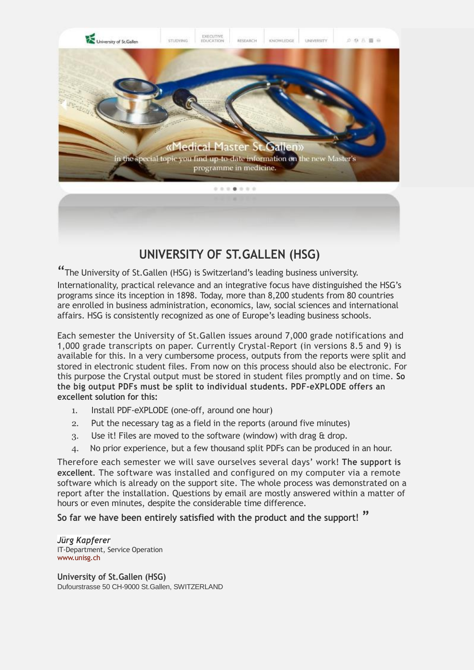

## **UNIVERSITY OF ST.GALLEN (HSG)**

"The University of St.Gallen (HSG) is Switzerland's leading business university.

Internationality, practical relevance and an integrative focus have distinguished the HSG's programs since its inception in 1898. Today, more than 8,200 students from 80 countries are enrolled in business administration, economics, law, social sciences and international affairs. HSG is consistently recognized as one of Europe's leading business schools.

Each semester the University of St.Gallen issues around 7,000 grade notifications and 1,000 grade transcripts on paper. Currently Crystal-Report (in versions 8.5 and 9) is available for this. In a very cumbersome process, outputs from the reports were split and stored in electronic student files. From now on this process should also be electronic. For this purpose the Crystal output must be stored in student files promptly and on time. **So the big output PDFs must be split to individual students. PDF-eXPLODE offers an excellent solution for this:**

- 1. Install PDF-eXPLODE (one-off, around one hour)
- 2. Put the necessary tag as a field in the reports (around five minutes)
- 3. Use it! Files are moved to the software (window) with drag & drop.
- 4. No prior experience, but a few thousand split PDFs can be produced in an hour.

Therefore each semester we will save ourselves several days' work! **The support is excellent**. The software was installed and configured on my computer via a remote software which is already on the support site. The whole process was demonstrated on a report after the installation. Questions by email are mostly answered within a matter of hours or even minutes, despite the considerable time difference.

**So far we have been entirely satisfied with the product and the support! "**

*Jürg Kapferer* IT-Department, Service Operation [www.unisg.ch](http://www.unisg.ch/)

**University of St.Gallen (HSG)** Dufourstrasse 50 CH-9000 St.Gallen, SWITZERLAND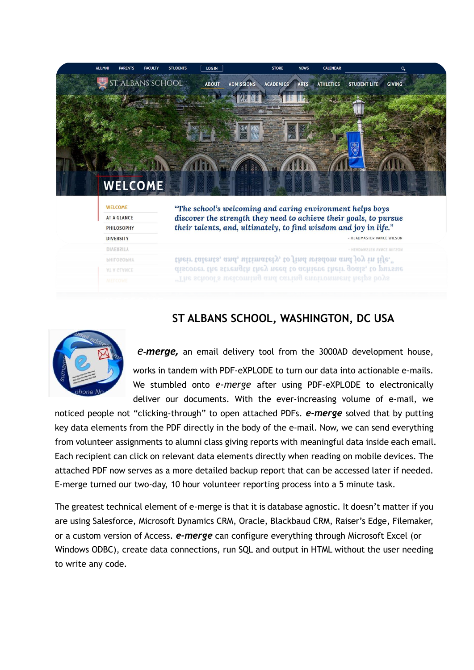| <b>ALUMNI</b> | <b>PARENTS</b>                       | <b>FACULTY</b> | <b>STUDENTS</b> | LOG IN       |                   | <b>STORE</b>   | <b>NEWS</b> | <b>CALENDAR</b>  |                                                                                                                                       | Q             |  |
|---------------|--------------------------------------|----------------|-----------------|--------------|-------------------|----------------|-------------|------------------|---------------------------------------------------------------------------------------------------------------------------------------|---------------|--|
|               | ST. ALBANS SCHOOL                    |                |                 | <b>ABOUT</b> | <b>ADMISSIONS</b> | ACADEMICS ARTS |             | <b>ATHLETICS</b> | <b>STUDENT LIFE</b>                                                                                                                   | <b>GIVING</b> |  |
|               |                                      |                |                 |              |                   |                |             |                  |                                                                                                                                       |               |  |
|               |                                      |                |                 |              |                   |                |             |                  |                                                                                                                                       |               |  |
|               |                                      |                |                 |              |                   |                |             |                  |                                                                                                                                       |               |  |
|               |                                      |                |                 |              |                   |                |             |                  |                                                                                                                                       |               |  |
|               |                                      |                |                 |              |                   |                |             |                  |                                                                                                                                       |               |  |
|               |                                      |                |                 |              |                   |                |             |                  |                                                                                                                                       |               |  |
|               |                                      |                |                 |              |                   |                |             |                  |                                                                                                                                       |               |  |
|               |                                      |                |                 |              |                   |                |             |                  |                                                                                                                                       |               |  |
|               | <b>WELCOME</b>                       |                |                 |              |                   |                |             |                  |                                                                                                                                       |               |  |
|               | <b>WELCOME</b><br><b>AT A GLANCE</b> |                |                 |              |                   |                |             |                  | "The school's welcoming and caring environment helps boys                                                                             |               |  |
|               | <b>PHILOSOPHY</b>                    |                |                 |              |                   |                |             |                  | discover the strength they need to achieve their goals, to pursue<br>their talents, and, ultimately, to find wisdom and joy in life." |               |  |
|               | <b>DIVERSITY</b>                     |                |                 |              |                   |                |             |                  | - HEADMASTER VANCE WILSON                                                                                                             |               |  |
|               | <b>DIVERSITY</b>                     |                |                 |              |                   |                |             |                  | HEADMASTER VANCE WILSON                                                                                                               |               |  |
|               | <b>PHILOSOPHY</b>                    |                |                 |              |                   |                |             |                  | their talents, and, ultimately, to find wisdom and joy in life."                                                                      |               |  |
|               | AT A GLANCE                          |                |                 |              |                   |                |             |                  | discover the strength they need to achieve their goals, to pursue<br>"The school's welcoming and caring environment helps boys        |               |  |

## **ST ALBANS SCHOOL, WASHINGTON, DC USA**



*e***-***merge,* an email delivery tool from the 3000AD development house, works in tandem with PDF-eXPLODE to turn our data into actionable e-mails. We stumbled onto *e-merge* after using PDF-eXPLODE to electronically deliver our documents. With the ever-increasing volume of e-mail, we

noticed people not "clicking-through" to open attached PDFs. *e-merge* solved that by putting key data elements from the PDF directly in the body of the e-mail. Now, we can send everything from volunteer assignments to alumni class giving reports with meaningful data inside each email. Each recipient can click on relevant data elements directly when reading on mobile devices. The attached PDF now serves as a more detailed backup report that can be accessed later if needed. E-merge turned our two-day, 10 hour volunteer reporting process into a 5 minute task.

The greatest technical element of e-merge is that it is database agnostic. It doesn't matter if you are using Salesforce, Microsoft Dynamics CRM, Oracle, Blackbaud CRM, Raiser's Edge, Filemaker, or a custom version of Access. *e-merge* can configure everything through Microsoft Excel (or Windows ODBC), create data connections, run SQL and output in HTML without the user needing to write any code.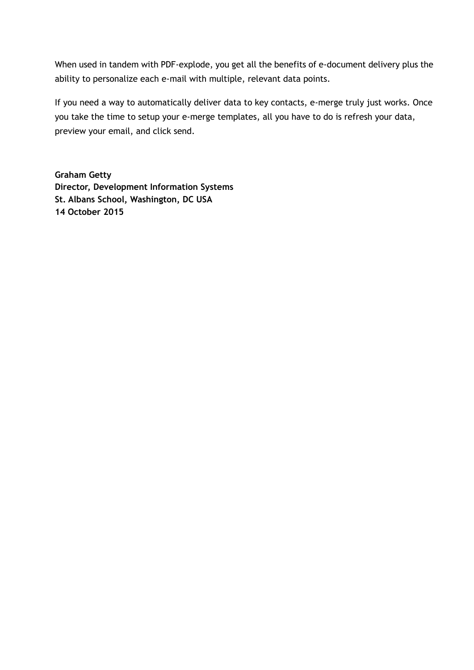When used in tandem with PDF-explode, you get all the benefits of e-document delivery plus the ability to personalize each e-mail with multiple, relevant data points.

If you need a way to automatically deliver data to key contacts, e-merge truly just works. Once you take the time to setup your e-merge templates, all you have to do is refresh your data, preview your email, and click send.

**Graham Getty Director, Development Information Systems St. Albans School, Washington, DC USA 14 October 2015**